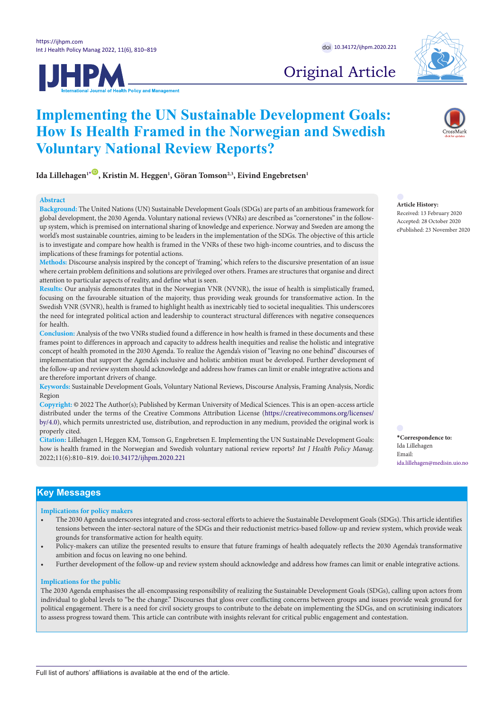



# Original Article

# **Implementing the UN Sustainable Development Goals: How Is Health Framed in the Norwegian and Swedish Voluntary National Review Reports?**

Ida Lillehagen<sup>ı[\\*](#page-0-0)</sup> , Kristin M. Heggen<sup>ı</sup>, Göran Tomson<sup>2,3</sup>, Eivind Engebretsen<sup>ı</sup>

## **Abstract**

**Background:** The United Nations (UN) Sustainable Development Goals (SDGs) are parts of an ambitious framework for global development, the 2030 Agenda. Voluntary national reviews (VNRs) are described as "cornerstones" in the followup system, which is premised on international sharing of knowledge and experience. Norway and Sweden are among the world's most sustainable countries, aiming to be leaders in the implementation of the SDGs. The objective of this article is to investigate and compare how health is framed in the VNRs of these two high-income countries, and to discuss the implications of these framings for potential actions.

**Methods:** Discourse analysis inspired by the concept of 'framing,' which refers to the discursive presentation of an issue where certain problem definitions and solutions are privileged over others. Frames are structures that organise and direct attention to particular aspects of reality, and define what is seen.

**Results:** Our analysis demonstrates that in the Norwegian VNR (NVNR), the issue of health is simplistically framed, focusing on the favourable situation of the majority, thus providing weak grounds for transformative action. In the Swedish VNR (SVNR), health is framed to highlight health as inextricably tied to societal inequalities. This underscores the need for integrated political action and leadership to counteract structural differences with negative consequences for health.

**Conclusion:** Analysis of the two VNRs studied found a difference in how health is framed in these documents and these frames point to differences in approach and capacity to address health inequities and realise the holistic and integrative concept of health promoted in the 2030 Agenda. To realize the Agenda's vision of "leaving no one behind" discourses of implementation that support the Agenda's inclusive and holistic ambition must be developed. Further development of the follow-up and review system should acknowledge and address how frames can limit or enable integrative actions and are therefore important drivers of change.

**Keywords:** Sustainable Development Goals, Voluntary National Reviews, Discourse Analysis, Framing Analysis, Nordic Region

**Copyright:** © 2022 The Author(s); Published by Kerman University of Medical Sciences. This is an open-access article distributed under the terms of the Creative Commons Attribution License [\(https://creativecommons.org/licenses/](https://doi.org/creativecommons.org/licenses/by/4.0) [by/4.0\)](https://doi.org/creativecommons.org/licenses/by/4.0), which permits unrestricted use, distribution, and reproduction in any medium, provided the original work is properly cited.

**Citation:** Lillehagen I, Heggen KM, Tomson G, Engebretsen E. Implementing the UN Sustainable Development Goals: how is health framed in the Norwegian and Swedish voluntary national review reports? *Int J Health Policy Manag.*  2022;11(6):810–819. doi[:10.34172/ijhpm.2020.221](https://doi.org/10.34172/ijhpm.2020.221)

**Article History:** Received: 13 February 2020 Accepted: 28 October 2020 ePublished: 23 November 2020

<span id="page-0-0"></span>**\*Correspondence to:** Ida Lillehagen Email: ida.lillehagen@medisin.uio.no

# **Key Messages**

### **Implications for policy makers**

- The 2030 Agenda underscores integrated and cross-sectoral efforts to achieve the Sustainable Development Goals (SDGs). This article identifies tensions between the inter-sectoral nature of the SDGs and their reductionist metrics-based follow-up and review system, which provide weak grounds for transformative action for health equity.
- Policy-makers can utilize the presented results to ensure that future framings of health adequately reflects the 2030 Agenda's transformative ambition and focus on leaving no one behind.
- Further development of the follow-up and review system should acknowledge and address how frames can limit or enable integrative actions.

## **Implications for the public**

The 2030 Agenda emphasises the all-encompassing responsibility of realizing the Sustainable Development Goals (SDGs), calling upon actors from individual to global levels to "be the change." Discourses that gloss over conflicting concerns between groups and issues provide weak ground for political engagement. There is a need for civil society groups to contribute to the debate on implementing the SDGs, and on scrutinising indicators to assess progress toward them. This article can contribute with insights relevant for critical public engagement and contestation.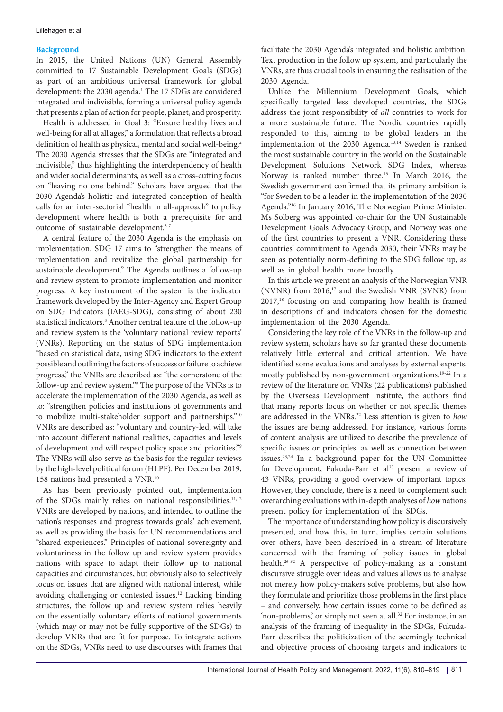## **Background**

In 2015, the United Nations (UN) General Assembly committed to 17 Sustainable Development Goals (SDGs) as part of an ambitious universal framework for global development: the 2030 agenda.<sup>1</sup> The 17 SDGs are considered integrated and indivisible, forming a universal policy agenda that presents a plan of action for people, planet, and prosperity.

Health is addressed in Goal 3: "Ensure healthy lives and well-being for all at all ages," a formulation that reflects a broad definition of health as physical, mental and social well-being.<sup>2</sup> The 2030 Agenda stresses that the SDGs are "integrated and indivisible," thus highlighting the interdependency of health and wider social determinants, as well as a cross-cutting focus on "leaving no one behind." Scholars have argued that the 2030 Agenda's holistic and integrated conception of health calls for an inter-sectorial "health in all-approach" to policy development where health is both a prerequisite for and outcome of sustainable development.<sup>3-7</sup>

A central feature of the 2030 Agenda is the emphasis on implementation. SDG 17 aims to "strengthen the means of implementation and revitalize the global partnership for sustainable development." The Agenda outlines a follow-up and review system to promote implementation and monitor progress. A key instrument of the system is the indicator framework developed by the Inter-Agency and Expert Group on SDG Indicators (IAEG-SDG), consisting of about 230 statistical indicators.<sup>8</sup> Another central feature of the follow-up and review system is the 'voluntary national review reports' (VNRs). Reporting on the status of SDG implementation "based on statistical data, using SDG indicators to the extent possible and outlining the factors of success or failure to achieve progress," the VNRs are described as: "the cornerstone of the follow-up and review system."9 The purpose of the VNRs is to accelerate the implementation of the 2030 Agenda, as well as to: "strengthen policies and institutions of governments and to mobilize multi-stakeholder support and partnerships."10 VNRs are described as: "voluntary and country-led, will take into account different national realities, capacities and levels of development and will respect policy space and priorities."9 The VNRs will also serve as the basis for the regular reviews by the high-level political forum (HLPF). Per December 2019, 158 nations had presented a VNR.10

As has been previously pointed out, implementation of the SDGs mainly relies on national responsibilities.<sup>11,12</sup> VNRs are developed by nations, and intended to outline the nation's responses and progress towards goals' achievement, as well as providing the basis for UN recommendations and "shared experiences." Principles of national sovereignty and voluntariness in the follow up and review system provides nations with space to adapt their follow up to national capacities and circumstances, but obviously also to selectively focus on issues that are aligned with national interest, while avoiding challenging or contested issues.12 Lacking binding structures, the follow up and review system relies heavily on the essentially voluntary efforts of national governments (which may or may not be fully supportive of the SDGs) to develop VNRs that are fit for purpose. To integrate actions on the SDGs, VNRs need to use discourses with frames that

facilitate the 2030 Agenda's integrated and holistic ambition. Text production in the follow up system, and particularly the VNRs, are thus crucial tools in ensuring the realisation of the 2030 Agenda.

Unlike the Millennium Development Goals, which specifically targeted less developed countries, the SDGs address the joint responsibility of *all* countries to work for a more sustainable future. The Nordic countries rapidly responded to this, aiming to be global leaders in the implementation of the 2030 Agenda.<sup>13,14</sup> Sweden is ranked the most sustainable country in the world on the Sustainable Development Solutions Network SDG Index, whereas Norway is ranked number three.<sup>15</sup> In March 2016, the Swedish government confirmed that its primary ambition is "for Sweden to be a leader in the implementation of the 2030 Agenda."16 In January 2016, The Norwegian Prime Minister, Ms Solberg was appointed co-chair for the UN Sustainable Development Goals Advocacy Group, and Norway was one of the first countries to present a VNR. Considering these countries' commitment to Agenda 2030, their VNRs may be seen as potentially norm-defining to the SDG follow up, as well as in global health more broadly.

In this article we present an analysis of the Norwegian VNR (NVNR) from 2016,17 and the Swedish VNR (SVNR) from  $2017<sup>18</sup>$  focusing on and comparing how health is framed in descriptions of and indicators chosen for the domestic implementation of the 2030 Agenda.

Considering the key role of the VNRs in the follow-up and review system, scholars have so far granted these documents relatively little external and critical attention. We have identified some evaluations and analyses by external experts, mostly published by non-government organizations.19-22 In a review of the literature on VNRs (22 publications) published by the Overseas Development Institute, the authors find that many reports focus on whether or not specific themes are addressed in the VNRs.22 Less attention is given to *how* the issues are being addressed. For instance, various forms of content analysis are utilized to describe the prevalence of specific issues or principles, as well as connection between issues.23,24 In a background paper for the UN Committee for Development, Fukuda-Parr et al<sup>25</sup> present a review of 43 VNRs, providing a good overview of important topics. However, they conclude, there is a need to complement such overarching evaluations with in-depth analyses of *how* nations present policy for implementation of the SDGs.

The importance of understanding how policy is discursively presented, and how this, in turn, implies certain solutions over others, have been described in a stream of literature concerned with the framing of policy issues in global health.26-32 A perspective of policy-making as a constant discursive struggle over ideas and values allows us to analyse not merely how policy-makers solve problems, but also how they formulate and prioritize those problems in the first place – and conversely, how certain issues come to be defined as 'non-problems,' or simply not seen at all.<sup>32</sup> For instance, in an analysis of the framing of inequality in the SDGs, Fukuda-Parr describes the politicization of the seemingly technical and objective process of choosing targets and indicators to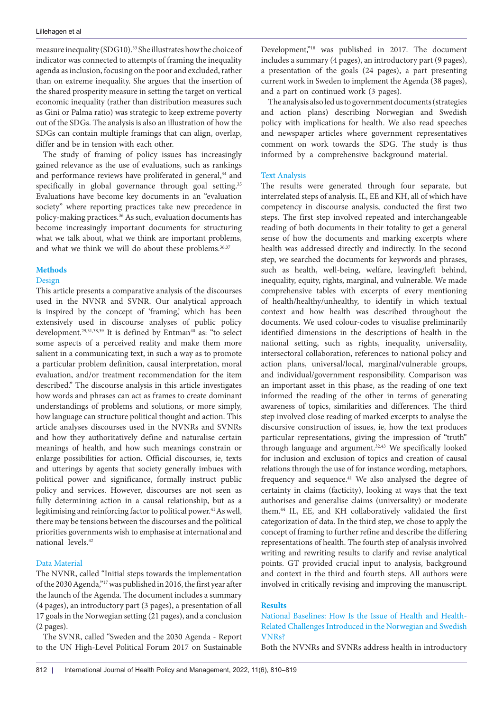measure inequality (SDG10).33 She illustrates how the choice of indicator was connected to attempts of framing the inequality agenda as inclusion, focusing on the poor and excluded, rather than on extreme inequality. She argues that the insertion of the shared prosperity measure in setting the target on vertical economic inequality (rather than distribution measures such as Gini or Palma ratio) was strategic to keep extreme poverty out of the SDGs. The analysis is also an illustration of how the SDGs can contain multiple framings that can align, overlap, differ and be in tension with each other.

The study of framing of policy issues has increasingly gained relevance as the use of evaluations, such as rankings and performance reviews have proliferated in general,<sup>34</sup> and specifically in global governance through goal setting.<sup>35</sup> Evaluations have become key documents in an "evaluation society" where reporting practices take new precedence in policy-making practices.<sup>36</sup> As such, evaluation documents has become increasingly important documents for structuring what we talk about, what we think are important problems, and what we think we will do about these problems.<sup>36,37</sup>

# **Methods**

## Design

This article presents a comparative analysis of the discourses used in the NVNR and SVNR. Our analytical approach is inspired by the concept of 'framing,' which has been extensively used in discourse analyses of public policy development.<sup>29,31,38,39</sup> It is defined by Entman<sup>40</sup> as: "to select some aspects of a perceived reality and make them more salient in a communicating text, in such a way as to promote a particular problem definition, causal interpretation, moral evaluation, and/or treatment recommendation for the item described." The discourse analysis in this article investigates how words and phrases can act as frames to create dominant understandings of problems and solutions, or more simply, how language can structure political thought and action. This article analyses discourses used in the NVNRs and SVNRs and how they authoritatively define and naturalise certain meanings of health, and how such meanings constrain or enlarge possibilities for action. Official discourses, ie, texts and utterings by agents that society generally imbues with political power and significance, formally instruct public policy and services. However, discourses are not seen as fully determining action in a causal relationship, but as a legitimising and reinforcing factor to political power.<sup>41</sup> As well, there may be tensions between the discourses and the political priorities governments wish to emphasise at international and national levels.42

# Data Material

The NVNR, called "Initial steps towards the implementation of the 2030 Agenda,"17 was published in 2016, the first year after the launch of the Agenda. The document includes a summary (4 pages), an introductory part (3 pages), a presentation of all 17 goals in the Norwegian setting (21 pages), and a conclusion (2 pages).

The SVNR, called "Sweden and the 2030 Agenda - Report to the UN High-Level Political Forum 2017 on Sustainable

Development,"18 was published in 2017. The document includes a summary (4 pages), an introductory part (9 pages), a presentation of the goals (24 pages), a part presenting current work in Sweden to implement the Agenda (38 pages), and a part on continued work (3 pages).

The analysis also led us to government documents (strategies and action plans) describing Norwegian and Swedish policy with implications for health. We also read speeches and newspaper articles where government representatives comment on work towards the SDG. The study is thus informed by a comprehensive background material.

## Text Analysis

The results were generated through four separate, but interrelated steps of analysis. IL, EE and KH, all of which have competency in discourse analysis, conducted the first two steps. The first step involved repeated and interchangeable reading of both documents in their totality to get a general sense of how the documents and marking excerpts where health was addressed directly and indirectly. In the second step, we searched the documents for keywords and phrases, such as health, well-being, welfare, leaving/left behind, inequality, equity, rights, marginal, and vulnerable. We made comprehensive tables with excerpts of every mentioning of health/healthy/unhealthy, to identify in which textual context and how health was described throughout the documents. We used colour-codes to visualise preliminarily identified dimensions in the descriptions of health in the national setting, such as rights, inequality, universality, intersectoral collaboration, references to national policy and action plans, universal/local, marginal/vulnerable groups, and individual/government responsibility. Comparison was an important asset in this phase, as the reading of one text informed the reading of the other in terms of generating awareness of topics, similarities and differences. The third step involved close reading of marked excerpts to analyse the discursive construction of issues, ie, how the text produces particular representations, giving the impression of "truth" through language and argument.<sup>32,43</sup> We specifically looked for inclusion and exclusion of topics and creation of causal relations through the use of for instance wording, metaphors, frequency and sequence.<sup>41</sup> We also analysed the degree of certainty in claims (facticity), looking at ways that the text authorises and generalise claims (universality) or moderate them.44 IL, EE, and KH collaboratively validated the first categorization of data. In the third step, we chose to apply the concept of framing to further refine and describe the differing representations of health. The fourth step of analysis involved writing and rewriting results to clarify and revise analytical points. GT provided crucial input to analysis, background and context in the third and fourth steps. All authors were involved in critically revising and improving the manuscript.

## **Results**

National Baselines: How Is the Issue of Health and Health-Related Challenges Introduced in the Norwegian and Swedish VNRs?

Both the NVNRs and SVNRs address health in introductory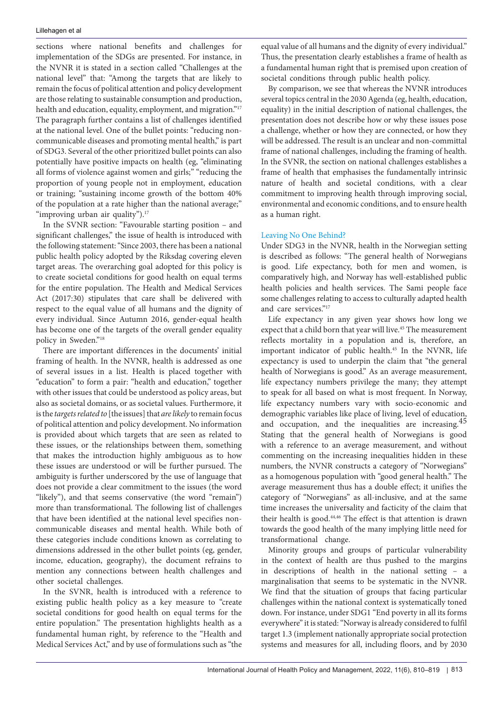sections where national benefits and challenges for implementation of the SDGs are presented. For instance, in the NVNR it is stated in a section called "Challenges at the national level" that: "Among the targets that are likely to remain the focus of political attention and policy development are those relating to sustainable consumption and production, health and education, equality, employment, and migration."<sup>17</sup> The paragraph further contains a list of challenges identified at the national level. One of the bullet points: "reducing noncommunicable diseases and promoting mental health," is part of SDG3. Several of the other prioritized bullet points can also potentially have positive impacts on health (eg, "eliminating all forms of violence against women and girls;" "reducing the proportion of young people not in employment, education or training; "sustaining income growth of the bottom 40% of the population at a rate higher than the national average;" "improving urban air quality").<sup>17</sup>

In the SVNR section: "Favourable starting position – and significant challenges," the issue of health is introduced with the following statement: "Since 2003, there has been a national public health policy adopted by the Riksdag covering eleven target areas. The overarching goal adopted for this policy is to create societal conditions for good health on equal terms for the entire population. The Health and Medical Services Act (2017:30) stipulates that care shall be delivered with respect to the equal value of all humans and the dignity of every individual. Since Autumn 2016, gender-equal health has become one of the targets of the overall gender equality policy in Sweden."18

There are important differences in the documents' initial framing of health. In the NVNR, health is addressed as one of several issues in a list. Health is placed together with "education" to form a pair: "health and education," together with other issues that could be understood as policy areas, but also as societal domains, or as societal values. Furthermore, it is the *targets related to* [the issues] that *are likely* to remain focus of political attention and policy development. No information is provided about which targets that are seen as related to these issues, or the relationships between them, something that makes the introduction highly ambiguous as to how these issues are understood or will be further pursued. The ambiguity is further underscored by the use of language that does not provide a clear commitment to the issues (the word "likely"), and that seems conservative (the word "remain") more than transformational. The following list of challenges that have been identified at the national level specifies noncommunicable diseases and mental health. While both of these categories include conditions known as correlating to dimensions addressed in the other bullet points (eg, gender, income, education, geography), the document refrains to mention any connections between health challenges and other societal challenges.

In the SVNR, health is introduced with a reference to existing public health policy as a key measure to "create societal conditions for good health on equal terms for the entire population." The presentation highlights health as a fundamental human right, by reference to the "Health and Medical Services Act," and by use of formulations such as "the

equal value of all humans and the dignity of every individual." Thus, the presentation clearly establishes a frame of health as a fundamental human right that is premised upon creation of societal conditions through public health policy.

By comparison, we see that whereas the NVNR introduces several topics central in the 2030 Agenda (eg, health, education, equality) in the initial description of national challenges, the presentation does not describe how or why these issues pose a challenge, whether or how they are connected, or how they will be addressed. The result is an unclear and non-committal frame of national challenges, including the framing of health. In the SVNR, the section on national challenges establishes a frame of health that emphasises the fundamentally intrinsic nature of health and societal conditions, with a clear commitment to improving health through improving social, environmental and economic conditions, and to ensure health as a human right.

# Leaving No One Behind?

Under SDG3 in the NVNR, health in the Norwegian setting is described as follows: "The general health of Norwegians is good. Life expectancy, both for men and women, is comparatively high, and Norway has well-established public health policies and health services. The Sami people face some challenges relating to access to culturally adapted health and care services."17

Life expectancy in any given year shows how long we expect that a child born that year will live.<sup>45</sup> The measurement reflects mortality in a population and is, therefore, an important indicator of public health.45 In the NVNR, life expectancy is used to underpin the claim that "the general health of Norwegians is good." As an average measurement, life expectancy numbers privilege the many; they attempt to speak for all based on what is most frequent. In Norway, life expectancy numbers vary with socio-economic and demographic variables like place of living, level of education, and occupation, and the inequalities are increasing.<sup>45</sup> Stating that the general health of Norwegians is good with a reference to an average measurement, and without commenting on the increasing inequalities hidden in these numbers, the NVNR constructs a category of "Norwegians" as a homogenous population with "good general health." The average measurement thus has a double effect; it unifies the category of "Norwegians" as all-inclusive, and at the same time increases the universality and facticity of the claim that their health is good.44,46 The effect is that attention is drawn towards the good health of the many implying little need for transformational change.

Minority groups and groups of particular vulnerability in the context of health are thus pushed to the margins in descriptions of health in the national setting – a marginalisation that seems to be systematic in the NVNR. We find that the situation of groups that facing particular challenges within the national context is systematically toned down. For instance, under SDG1 "End poverty in all its forms everywhere" it is stated: "Norway is already considered to fulfil target 1.3 (implement nationally appropriate social protection systems and measures for all, including floors, and by 2030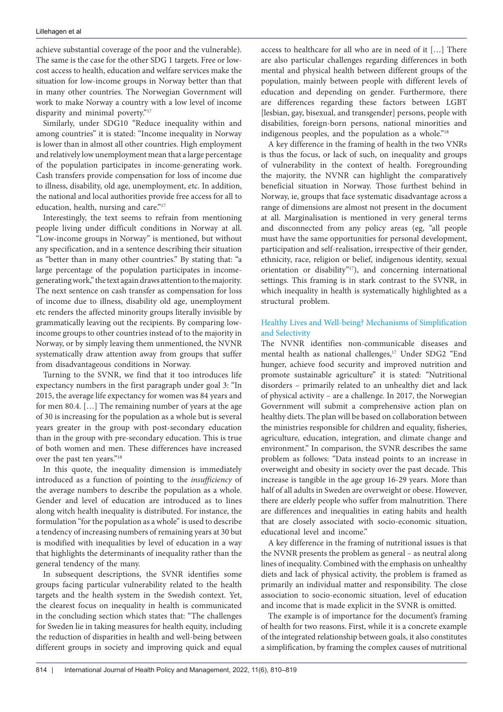achieve substantial coverage of the poor and the vulnerable). The same is the case for the other SDG 1 targets. Free or lowcost access to health, education and welfare services make the situation for low-income groups in Norway better than that in many other countries. The Norwegian Government will work to make Norway a country with a low level of income disparity and minimal poverty."17

Similarly, under SDG10 "Reduce inequality within and among countries" it is stated: "Income inequality in Norway is lower than in almost all other countries. High employment and relatively low unemployment mean that a large percentage of the population participates in income-generating work. Cash transfers provide compensation for loss of income due to illness, disability, old age, unemployment, etc. In addition, the national and local authorities provide free access for all to education, health, nursing and care."17

Interestingly, the text seems to refrain from mentioning people living under difficult conditions in Norway at all. "Low-income groups in Norway" is mentioned, but without any specification, and in a sentence describing their situation as "better than in many other countries." By stating that: "a large percentage of the population participates in incomegenerating work," the text again draws attention to the majority. The next sentence on cash transfer as compensation for loss of income due to illness, disability old age, unemployment etc renders the affected minority groups literally invisible by grammatically leaving out the recipients. By comparing lowincome groups to other countries instead of to the majority in Norway, or by simply leaving them unmentioned, the NVNR systematically draw attention away from groups that suffer from disadvantageous conditions in Norway.

Turning to the SVNR, we find that it too introduces life expectancy numbers in the first paragraph under goal 3: "In 2015, the average life expectancy for women was 84 years and for men 80.4. […] The remaining number of years at the age of 30 is increasing for the population as a whole but is several years greater in the group with post-secondary education than in the group with pre-secondary education. This is true of both women and men. These differences have increased over the past ten years."18

In this quote, the inequality dimension is immediately introduced as a function of pointing to the *insufficiency* of the average numbers to describe the population as a whole. Gender and level of education are introduced as to lines along witch health inequality is distributed. For instance, the formulation "for the population as a whole" is used to describe a tendency of increasing numbers of remaining years at 30 but is modified with inequalities by level of education in a way that highlights the determinants of inequality rather than the general tendency of the many.

In subsequent descriptions, the SVNR identifies some groups facing particular vulnerability related to the health targets and the health system in the Swedish context. Yet, the clearest focus on inequality in health is communicated in the concluding section which states that: "The challenges for Sweden lie in taking measures for health equity, including the reduction of disparities in health and well-being between different groups in society and improving quick and equal

access to healthcare for all who are in need of it […] There are also particular challenges regarding differences in both mental and physical health between different groups of the population, mainly between people with different levels of education and depending on gender. Furthermore, there are differences regarding these factors between LGBT [lesbian, gay, bisexual, and transgender] persons, people with disabilities, foreign-born persons, national minorities and indigenous peoples, and the population as a whole."18

A key difference in the framing of health in the two VNRs is thus the focus, or lack of such, on inequality and groups of vulnerability in the context of health. Foregrounding the majority, the NVNR can highlight the comparatively beneficial situation in Norway. Those furthest behind in Norway, ie, groups that face systematic disadvantage across a range of dimensions are almost not present in the document at all. Marginalisation is mentioned in very general terms and disconnected from any policy areas (eg, "all people must have the same opportunities for personal development, participation and self-realisation, irrespective of their gender, ethnicity, race, religion or belief, indigenous identity, sexual orientation or disability"17), and concerning international settings. This framing is in stark contrast to the SVNR, in which inequality in health is systematically highlighted as a structural problem.

# Healthy Lives and Well-being? Mechanisms of Simplification and Selectivity

The NVNR identifies non-communicable diseases and mental health as national challenges,<sup>17</sup> Under SDG2 "End hunger, achieve food security and improved nutrition and promote sustainable agriculture" it is stated: "Nutritional disorders – primarily related to an unhealthy diet and lack of physical activity – are a challenge. In 2017, the Norwegian Government will submit a comprehensive action plan on healthy diets. The plan will be based on collaboration between the ministries responsible for children and equality, fisheries, agriculture, education, integration, and climate change and environment." In comparison, the SVNR describes the same problem as follows: "Data instead points to an increase in overweight and obesity in society over the past decade. This increase is tangible in the age group 16-29 years. More than half of all adults in Sweden are overweight or obese. However, there are elderly people who suffer from malnutrition. There are differences and inequalities in eating habits and health that are closely associated with socio-economic situation, educational level and income."

A key difference in the framing of nutritional issues is that the NVNR presents the problem as general – as neutral along lines of inequality. Combined with the emphasis on unhealthy diets and lack of physical activity, the problem is framed as primarily an individual matter and responsibility. The close association to socio-economic situation, level of education and income that is made explicit in the SVNR is omitted.

The example is of importance for the document's framing of health for two reasons. First, while it is a concrete example of the integrated relationship between goals, it also constitutes a simplification, by framing the complex causes of nutritional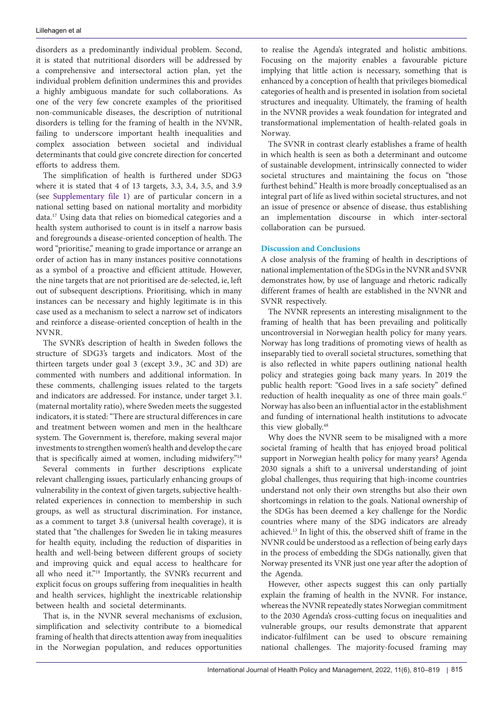disorders as a predominantly individual problem. Second, it is stated that nutritional disorders will be addressed by a comprehensive and intersectoral action plan, yet the individual problem definition undermines this and provides a highly ambiguous mandate for such collaborations. As one of the very few concrete examples of the prioritised non-communicable diseases, the description of nutritional disorders is telling for the framing of health in the NVNR, failing to underscore important health inequalities and complex association between societal and individual determinants that could give concrete direction for concerted efforts to address them.

The simplification of health is furthered under SDG3 where it is stated that 4 of 13 targets, 3.3, 3.4, 3.5, and 3.9 (see [Supplementary file 1](#page-7-0)) are of particular concern in a national setting based on national mortality and morbidity data.17 Using data that relies on biomedical categories and a health system authorised to count is in itself a narrow basis and foregrounds a disease-oriented conception of health. The word "prioritise," meaning to grade importance or arrange an order of action has in many instances positive connotations as a symbol of a proactive and efficient attitude. However, the nine targets that are not prioritised are de-selected, ie, left out of subsequent descriptions. Prioritising, which in many instances can be necessary and highly legitimate is in this case used as a mechanism to select a narrow set of indicators and reinforce a disease-oriented conception of health in the NVNR.

The SVNR's description of health in Sweden follows the structure of SDG3's targets and indicators. Most of the thirteen targets under goal 3 (except 3.9., 3C and 3D) are commented with numbers and additional information. In these comments, challenging issues related to the targets and indicators are addressed. For instance, under target 3.1. (maternal mortality ratio), where Sweden meets the suggested indicators, it is stated: "There are structural differences in care and treatment between women and men in the healthcare system. The Government is, therefore, making several major investments to strengthen women's health and develop the care that is specifically aimed at women, including midwifery."18

Several comments in further descriptions explicate relevant challenging issues, particularly enhancing groups of vulnerability in the context of given targets, subjective healthrelated experiences in connection to membership in such groups, as well as structural discrimination. For instance, as a comment to target 3.8 (universal health coverage), it is stated that "the challenges for Sweden lie in taking measures for health equity, including the reduction of disparities in health and well-being between different groups of society and improving quick and equal access to healthcare for all who need it."<sup>18</sup> Importantly, the SVNR's recurrent and explicit focus on groups suffering from inequalities in health and health services, highlight the inextricable relationship between health and societal determinants.

That is, in the NVNR several mechanisms of exclusion, simplification and selectivity contribute to a biomedical framing of health that directs attention away from inequalities in the Norwegian population, and reduces opportunities

to realise the Agenda's integrated and holistic ambitions. Focusing on the majority enables a favourable picture implying that little action is necessary, something that is enhanced by a conception of health that privileges biomedical categories of health and is presented in isolation from societal structures and inequality. Ultimately, the framing of health in the NVNR provides a weak foundation for integrated and transformational implementation of health-related goals in Norway.

The SVNR in contrast clearly establishes a frame of health in which health is seen as both a determinant and outcome of sustainable development, intrinsically connected to wider societal structures and maintaining the focus on "those furthest behind." Health is more broadly conceptualised as an integral part of life as lived within societal structures, and not an issue of presence or absence of disease, thus establishing an implementation discourse in which inter-sectoral collaboration can be pursued.

## **Discussion and Conclusions**

A close analysis of the framing of health in descriptions of national implementation of the SDGs in the NVNR and SVNR demonstrates how, by use of language and rhetoric radically different frames of health are established in the NVNR and SVNR respectively.

The NVNR represents an interesting misalignment to the framing of health that has been prevailing and politically uncontroversial in Norwegian health policy for many years. Norway has long traditions of promoting views of health as inseparably tied to overall societal structures, something that is also reflected in white papers outlining national health policy and strategies going back many years. In 2019 the public health report: "Good lives in a safe society" defined reduction of health inequality as one of three main goals.<sup>47</sup> Norway has also been an influential actor in the establishment and funding of international health institutions to advocate this view globally.<sup>48</sup>

Why does the NVNR seem to be misaligned with a more societal framing of health that has enjoyed broad political support in Norwegian health policy for many years? Agenda 2030 signals a shift to a universal understanding of joint global challenges, thus requiring that high-income countries understand not only their own strengths but also their own shortcomings in relation to the goals. National ownership of the SDGs has been deemed a key challenge for the Nordic countries where many of the SDG indicators are already achieved.13 In light of this, the observed shift of frame in the NVNR could be understood as a reflection of being early days in the process of embedding the SDGs nationally, given that Norway presented its VNR just one year after the adoption of the Agenda.

However, other aspects suggest this can only partially explain the framing of health in the NVNR. For instance, whereas the NVNR repeatedly states Norwegian commitment to the 2030 Agenda's cross-cutting focus on inequalities and vulnerable groups, our results demonstrate that apparent indicator-fulfilment can be used to obscure remaining national challenges. The majority-focused framing may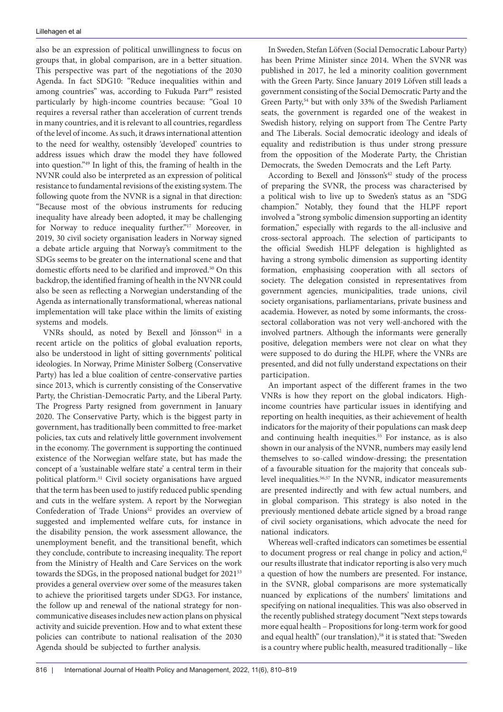also be an expression of political unwillingness to focus on groups that, in global comparison, are in a better situation. This perspective was part of the negotiations of the 2030 Agenda. In fact SDG10: "Reduce inequalities within and among countries" was, according to Fukuda Parr<sup>49</sup> resisted particularly by high-income countries because: "Goal 10 requires a reversal rather than acceleration of current trends in many countries, and it is relevant to all countries, regardless of the level of income. As such, it draws international attention to the need for wealthy, ostensibly 'developed' countries to address issues which draw the model they have followed into question."49 In light of this, the framing of health in the NVNR could also be interpreted as an expression of political resistance to fundamental revisions of the existing system. The following quote from the NVNR is a signal in that direction: "Because most of the obvious instruments for reducing inequality have already been adopted, it may be challenging for Norway to reduce inequality further."17 Moreover, in 2019, 30 civil society organisation leaders in Norway signed a debate article arguing that Norway's commitment to the SDGs seems to be greater on the international scene and that domestic efforts need to be clarified and improved.<sup>50</sup> On this backdrop, the identified framing of health in the NVNR could also be seen as reflecting a Norwegian understanding of the Agenda as internationally transformational, whereas national implementation will take place within the limits of existing systems and models.

VNRs should, as noted by Bexell and Jönsson<sup>42</sup> in a recent article on the politics of global evaluation reports, also be understood in light of sitting governments' political ideologies. In Norway, Prime Minister Solberg (Conservative Party) has led a blue coalition of centre-conservative parties since 2013, which is currently consisting of the Conservative Party, the Christian-Democratic Party, and the Liberal Party. The Progress Party resigned from government in January 2020. The Conservative Party, which is the biggest party in government, has traditionally been committed to free-market policies, tax cuts and relatively little government involvement in the economy. The government is supporting the continued existence of the Norwegian welfare state, but has made the concept of a 'sustainable welfare state' a central term in their political platform.51 Civil society organisations have argued that the term has been used to justify reduced public spending and cuts in the welfare system. A report by the Norwegian Confederation of Trade Unions<sup>52</sup> provides an overview of suggested and implemented welfare cuts, for instance in the disability pension, the work assessment allowance, the unemployment benefit, and the transitional benefit, which they conclude, contribute to increasing inequality. The report from the Ministry of Health and Care Services on the work towards the SDGs, in the proposed national budget for 2021<sup>53</sup> provides a general overview over some of the measures taken to achieve the prioritised targets under SDG3. For instance, the follow up and renewal of the national strategy for noncommunicative diseases includes new action plans on physical activity and suicide prevention. How and to what extent these policies can contribute to national realisation of the 2030 Agenda should be subjected to further analysis.

In Sweden, Stefan Löfven (Social Democratic Labour Party) has been Prime Minister since 2014. When the SVNR was published in 2017, he led a minority coalition government with the Green Party. Since January 2019 Löfven still leads a government consisting of the Social Democratic Party and the Green Party,<sup>54</sup> but with only 33% of the Swedish Parliament seats, the government is regarded one of the weakest in Swedish history, relying on support from The Centre Party and The Liberals. Social democratic ideology and ideals of equality and redistribution is thus under strong pressure from the opposition of the Moderate Party, the Christian Democrats, the Sweden Democrats and the Left Party.

According to Bexell and Jönsson's<sup>42</sup> study of the process of preparing the SVNR, the process was characterised by a political wish to live up to Sweden's status as an "SDG champion." Notably, they found that the HLPF report involved a "strong symbolic dimension supporting an identity formation," especially with regards to the all-inclusive and cross-sectoral approach. The selection of participants to the official Swedish HLPF delegation is highlighted as having a strong symbolic dimension as supporting identity formation, emphasising cooperation with all sectors of society. The delegation consisted in representatives from government agencies, municipalities, trade unions, civil society organisations, parliamentarians, private business and academia. However, as noted by some informants, the crosssectoral collaboration was not very well-anchored with the involved partners. Although the informants were generally positive, delegation members were not clear on what they were supposed to do during the HLPF, where the VNRs are presented, and did not fully understand expectations on their participation.

An important aspect of the different frames in the two VNRs is how they report on the global indicators. Highincome countries have particular issues in identifying and reporting on health inequities, as their achievement of health indicators for the majority of their populations can mask deep and continuing health inequities.<sup>55</sup> For instance, as is also shown in our analysis of the NVNR, numbers may easily lend themselves to so-called window-dressing; the presentation of a favourable situation for the majority that conceals sublevel inequalities.<sup>56,57</sup> In the NVNR, indicator measurements are presented indirectly and with few actual numbers, and in global comparison. This strategy is also noted in the previously mentioned debate article signed by a broad range of civil society organisations, which advocate the need for national indicators.

Whereas well-crafted indicators can sometimes be essential to document progress or real change in policy and action, $42$ our results illustrate that indicator reporting is also very much a question of how the numbers are presented. For instance, in the SVNR, global comparisons are more systematically nuanced by explications of the numbers' limitations and specifying on national inequalities. This was also observed in the recently published strategy document "Next steps towards more equal health – Propositions for long-term work for good and equal health" (our translation),<sup>58</sup> it is stated that: "Sweden is a country where public health, measured traditionally – like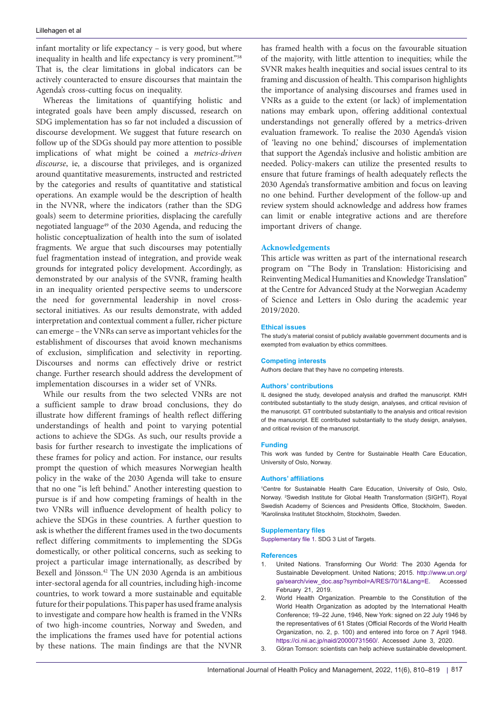infant mortality or life expectancy – is very good, but where inequality in health and life expectancy is very prominent."<sup>58</sup> That is, the clear limitations in global indicators can be actively counteracted to ensure discourses that maintain the Agenda's cross-cutting focus on inequality.

Whereas the limitations of quantifying holistic and integrated goals have been amply discussed, research on SDG implementation has so far not included a discussion of discourse development. We suggest that future research on follow up of the SDGs should pay more attention to possible implications of what might be coined a *metrics-driven discourse*, ie, a discourse that privileges, and is organized around quantitative measurements, instructed and restricted by the categories and results of quantitative and statistical operations. An example would be the description of health in the NVNR, where the indicators (rather than the SDG goals) seem to determine priorities, displacing the carefully negotiated language49 of the 2030 Agenda, and reducing the holistic conceptualization of health into the sum of isolated fragments. We argue that such discourses may potentially fuel fragmentation instead of integration, and provide weak grounds for integrated policy development. Accordingly, as demonstrated by our analysis of the SVNR, framing health in an inequality oriented perspective seems to underscore the need for governmental leadership in novel crosssectoral initiatives. As our results demonstrate, with added interpretation and contextual comment a fuller, richer picture can emerge – the VNRs can serve as important vehicles for the establishment of discourses that avoid known mechanisms of exclusion, simplification and selectivity in reporting. Discourses and norms can effectively drive or restrict change. Further research should address the development of implementation discourses in a wider set of VNRs.

While our results from the two selected VNRs are not a sufficient sample to draw broad conclusions, they do illustrate how different framings of health reflect differing understandings of health and point to varying potential actions to achieve the SDGs. As such, our results provide a basis for further research to investigate the implications of these frames for policy and action. For instance, our results prompt the question of which measures Norwegian health policy in the wake of the 2030 Agenda will take to ensure that no one "is left behind." Another interesting question to pursue is if and how competing framings of health in the two VNRs will influence development of health policy to achieve the SDGs in these countries. A further question to ask is whether the different frames used in the two documents reflect differing commitments to implementing the SDGs domestically, or other political concerns, such as seeking to project a particular image internationally, as described by Bexell and Jönsson.42 The UN 2030 Agenda is an ambitious inter-sectoral agenda for all countries, including high-income countries, to work toward a more sustainable and equitable future for their populations. This paper has used frame analysis to investigate and compare how health is framed in the VNRs of two high-income countries, Norway and Sweden, and the implications the frames used have for potential actions by these nations. The main findings are that the NVNR has framed health with a focus on the favourable situation of the majority, with little attention to inequities; while the SVNR makes health inequities and social issues central to its framing and discussion of health. This comparison highlights the importance of analysing discourses and frames used in VNRs as a guide to the extent (or lack) of implementation nations may embark upon, offering additional contextual understandings not generally offered by a metrics-driven evaluation framework. To realise the 2030 Agenda's vision of 'leaving no one behind,' discourses of implementation that support the Agenda's inclusive and holistic ambition are needed. Policy-makers can utilize the presented results to ensure that future framings of health adequately reflects the 2030 Agenda's transformative ambition and focus on leaving no one behind. Further development of the follow-up and review system should acknowledge and address how frames can limit or enable integrative actions and are therefore important drivers of change.

### **Acknowledgements**

This article was written as part of the international research program on "The Body in Translation: Historicising and Reinventing Medical Humanities and Knowledge Translation" at the Centre for Advanced Study at the Norwegian Academy of Science and Letters in Oslo during the academic year 2019/2020.

#### **Ethical issues**

The study's material consist of publicly available government documents and is exempted from evaluation by ethics committees.

### **Competing interests**

Authors declare that they have no competing interests.

#### **Authors' contributions**

IL designed the study, developed analysis and drafted the manuscript. KMH contributed substantially to the study design, analyses, and critical revision of the manuscript. GT contributed substantially to the analysis and critical revision of the manuscript. EE contributed substantially to the study design, analyses, and critical revision of the manuscript.

#### **Funding**

This work was funded by Centre for Sustainable Health Care Education, University of Oslo, Norway.

#### **Authors' affiliations**

1 Centre for Sustainable Health Care Education, University of Oslo, Oslo, Norway. <sup>2</sup>Swedish Institute for Global Health Transformation (SIGHT), Royal Swedish Academy of Sciences and Presidents Office, Stockholm, Sweden. 3 Karolinska Institutet Stockholm, Stockholm, Sweden.

#### **Supplementary files**

<span id="page-7-0"></span>[Supplementary file 1.](https://www.ijhpm.com/jufile?ar_sfile=45955) SDG 3 List of Targets.

#### **References**

- 1. United Nations. Transforming Our World: The 2030 Agenda for Sustainable Development. United Nations; 2015. [http://www.un.org/](http://www.un.org/ga/search/view_doc.asp?symbol=A/RES/70/1&Lang=E) [ga/search/view\\_doc.asp?symbol=A/RES/70/1&Lang=E.](http://www.un.org/ga/search/view_doc.asp?symbol=A/RES/70/1&Lang=E) Accessed February 21, 2019.
- 2. World Health Organization. Preamble to the Constitution of the World Health Organization as adopted by the International Health Conference; 19–22 June, 1946, New York: signed on 22 July 1946 by the representatives of 61 States (Official Records of the World Health Organization, no. 2, p. 100) and entered into force on 7 April 1948. <https://ci.nii.ac.jp/naid/20000731560/>. Accessed June 3, 2020.
- 3. Göran Tomson: scientists can help achieve sustainable development.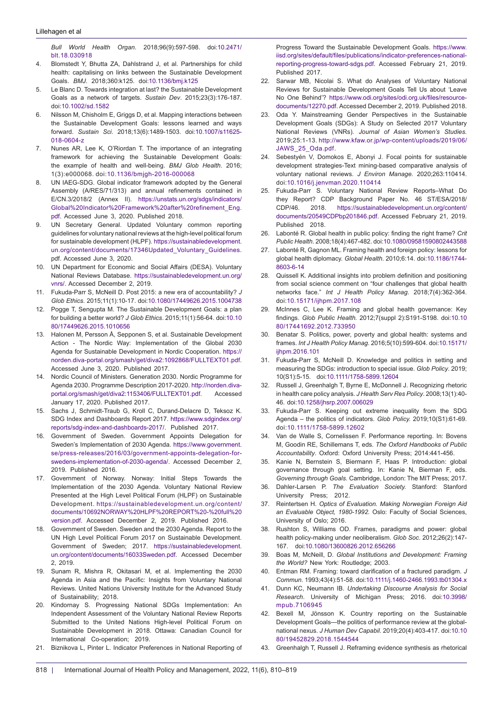#### Lillehagen et al

*Bull World Health Organ*. 2018;96(9):597-598. doi[:10.2471/](https://doi.org/10.2471/blt.18.030918) [blt.18.030918](https://doi.org/10.2471/blt.18.030918)

- 4. Blomstedt Y, Bhutta ZA, Dahlstrand J, et al. Partnerships for child health: capitalising on links between the Sustainable Development Goals. *BMJ*. 2018;360:k125. doi[:10.1136/bmj.k125](https://doi.org/10.1136/bmj.k125)
- 5. Le Blanc D. Towards integration at last? the Sustainable Development Goals as a network of targets*. Sustain Dev*. 2015;23(3):176-187. doi:[10.1002/sd.1582](https://doi.org/10.1002/sd.1582)
- 6. Nilsson M, Chisholm E, Griggs D, et al. Mapping interactions between the Sustainable Development Goals: lessons learned and ways forward. *Sustain Sci*. 2018;13(6):1489-1503. doi[:10.1007/s11625-](https://doi.org/10.1007/s11625-018-0604-z) [018-0604-z](https://doi.org/10.1007/s11625-018-0604-z)
- 7. Nunes AR, Lee K, O'Riordan T. The importance of an integrating framework for achieving the Sustainable Development Goals: the example of health and well-being. *BMJ Glob Health*. 2016; 1(3):e000068. doi:[10.1136/bmjgh-2016-000068](https://doi.org/10.1136/bmjgh-2016-000068)
- 8. UN IAEG-SDG. Global indicator framework adopted by the General Assembly (A/RES/71/313) and annual refinements contained in E/CN.3/2018/2 (Annex II). [https://unstats.un.org/sdgs/indicators/](https://unstats.un.org/sdgs/indicators/Global Indicator Framework after refinement_Eng.pdf) [Global%20Indicator%20Framework%20after%20refinement\\_Eng.](https://unstats.un.org/sdgs/indicators/Global Indicator Framework after refinement_Eng.pdf) [pdf.](https://unstats.un.org/sdgs/indicators/Global Indicator Framework after refinement_Eng.pdf) Accessed June 3, 2020. Published 2018.
- 9. UN Secretary General. Updated Voluntary common reporting guidelines for voluntary national reviews at the high-level political forum for sustainable development (HLPF). [https://sustainabledevelopment.](https://sustainabledevelopment.un.org/content/documents/17346Updated_Voluntary_Guidelines) [un.org/content/documents/17346Updated\\_Voluntary\\_Guidelines](https://sustainabledevelopment.un.org/content/documents/17346Updated_Voluntary_Guidelines). pdf. Accessed June 3, 2020.
- 10. UN Department for Economic and Social Affairs (DESA). Voluntary National Reviews Database. [https://sustainabledevelopment.un.org/](https://sustainabledevelopment.un.org/vnrs/) [vnrs/.](https://sustainabledevelopment.un.org/vnrs/) Accessed December 2, 2019.
- 11. Fukuda-Parr S, McNeill D. Post 2015: a new era of accountability? *J Glob Ethics.* 2015;11(1):10-17. doi[:10.1080/17449626.2015.1004738](https://doi.org/10.1080/17449626.2015.1004738)
- 12. Pogge T, Sengupta M. The Sustainable Development Goals: a plan for building a better world? *J Glob Ethics*. 2015;11(1):56-64. doi:[10.10](https://doi.org/10.1080/17449626.2015.1010656) [80/17449626.2015.1010656](https://doi.org/10.1080/17449626.2015.1010656)
- 13. Halonen M, Persson Å, Sepponen S, et al. Sustainable Development Action - The Nordic Way: Implementation of the Global 2030 Agenda for Sustainable Development in Nordic Cooperation. [https://](https://norden.diva-portal.org/smash/get/diva2:1092868/FULLTEXT01.pdf) [norden.diva-portal.org/smash/get/diva2:1092868/FULLTEXT01.pdf](https://norden.diva-portal.org/smash/get/diva2:1092868/FULLTEXT01.pdf). Accessed June 3, 2020. Published 2017.
- 14. Nordic Council of Ministers. Generation 2030. Nordic Programme for Agenda 2030. Programme Description 2017-2020. [http://norden.diva](http://norden.diva-portal.org/smash/get/diva2:1153406/FULLTEXT01.pdf)[portal.org/smash/get/diva2:1153406/FULLTEXT01.pdf](http://norden.diva-portal.org/smash/get/diva2:1153406/FULLTEXT01.pdf). Accessed January 17, 2020. Published 2017.
- 15. Sachs J, Schmidt-Traub G, Kroll C, Durand-Delacre D, Teksoz K. SDG Index and Dashboards Report 2017. [https://www.sdgindex.org/](https://www.sdgindex.org/reports/sdg-index-and-dashboards-2017/) [reports/sdg-index-and-dashboards-2017/.](https://www.sdgindex.org/reports/sdg-index-and-dashboards-2017/) Published 2017.
- 16. Government of Sweden. Government Appoints Delegation for Sweden's Implementation of 2030 Agenda. [https://www.government.](https://www.government.se/press-releases/2016/03/government-appoints-delegation-for-swedens-implementation-of-2030-agenda/) [se/press-releases/2016/03/government-appoints-delegation-for](https://www.government.se/press-releases/2016/03/government-appoints-delegation-for-swedens-implementation-of-2030-agenda/)[swedens-implementation-of-2030-agenda/](https://www.government.se/press-releases/2016/03/government-appoints-delegation-for-swedens-implementation-of-2030-agenda/). Accessed December 2, 2019. Published 2016.
- 17. Government of Norway. Norway: Initial Steps Towards the Implementation of the 2030 Agenda. Voluntary National Review Presented at the High Level Political Forum (HLPF) on Sustainable Development. [https://sustainabledevelopment.un.org/content/](https://sustainabledevelopment.un.org/content/documents/10692NORWAY HLPF REPORT - full version.pdf) [documents/10692NORWAY%20HLPF%20REPORT%20-%20full%20](https://sustainabledevelopment.un.org/content/documents/10692NORWAY HLPF REPORT - full version.pdf) [version.pdf.](https://sustainabledevelopment.un.org/content/documents/10692NORWAY HLPF REPORT - full version.pdf) Accessed December 2, 2019. Published 2016.
- Government of Sweden. Sweden and the 2030 Agenda. Report to the UN High Level Political Forum 2017 on Sustainable Development. Government of Sweden; 2017. https://sustainabledevelopment. un.org/content/documents/16033Sweden.pdf. Accessed December 2, 2019.
- 19. Sunam R, Mishra R, Okitasari M, et al. Implementing the 2030 Agenda in Asia and the Pacific: Insights from Voluntary National Reviews. United Nations University Institute for the Advanced Study of Sustainability; 2018.
- Kindornay S. Progressing National SDGs Implementation: An Independent Assessment of the Voluntary National Review Reports Submitted to the United Nations High-level Political Forum on Sustainable Development in 2018. Ottawa: Canadian Council for International Co-operation; 2019.
- 21. Biznikova L, Pinter L. Indicator Preferences in National Reporting of

Progress Toward the Sustainable Development Goals. [https://www.](https://www.iisd.org/sites/default/files/publications/indicator-preferences-national-reporting-progress-toward-sdgs.pdf) [iisd.org/sites/default/files/publications/indicator-preferences-national](https://www.iisd.org/sites/default/files/publications/indicator-preferences-national-reporting-progress-toward-sdgs.pdf)[reporting-progress-toward-sdgs.pdf.](https://www.iisd.org/sites/default/files/publications/indicator-preferences-national-reporting-progress-toward-sdgs.pdf) Accessed February 21, 2019. Published 2017.

- 22. Sarwar MB, Nicolai S. What do Analyses of Voluntary National Reviews for Sustainable Development Goals Tell Us about 'Leave No One Behind'? [https://www.odi.org/sites/odi.org.uk/files/resource](https://www.odi.org/sites/odi.org.uk/files/resource-documents/12270.pdf)[documents/12270.pdf](https://www.odi.org/sites/odi.org.uk/files/resource-documents/12270.pdf). Accessed December 2, 2019. Published 2018.
- 23. Oda Y. Mainstreaming Gender Perspectives in the Sustainable Development Goals (SDGs): A Study on Selected 2017 Voluntary National Reviews (VNRs). *Journal of Asian Women's Studies.*  2019;25:1-13. [http://www.kfaw.or.jp/wp-content/uploads/2019/06/](http://www.kfaw.or.jp/wp-content/uploads/2019/06/JAWS_25_Oda.pdf) [JAWS\\_25\\_Oda.pdf.](http://www.kfaw.or.jp/wp-content/uploads/2019/06/JAWS_25_Oda.pdf)
- 24. Sebestyén V, Domokos E, Abonyi J. Focal points for sustainable development strategies-Text mining-based comparative analysis of voluntary national reviews. *J Environ Manage.* 2020;263:110414. doi:[10.1016/j.jenvman.2020.110414](https://doi.org/10.1016/j.jenvman.2020.110414)
- 25. Fukuda-Parr S. Voluntary National Review Reports–What Do they Report? CDP Background Paper No. 46 ST/ESA/2018/ CDP/46. 2018. [https://sustainabledevelopment.un.org/content/](https://sustainabledevelopment.un.org/content/documents/20549CDPbp201846.pdf) [documents/20549CDPbp201846.pdf.](https://sustainabledevelopment.un.org/content/documents/20549CDPbp201846.pdf) Accessed February 21, 2019. Published 2018.
- 26. Labonté R. Global health in public policy: finding the right frame? *Crit Public Health*. 2008;18(4):467-482. doi:[10.1080/09581590802443588](https://doi.org/10.1080/09581590802443588)
- 27. Labonté R, Gagnon ML. Framing health and foreign policy: lessons for global health diplomacy. *Global Health*. 2010;6:14. doi:[10.1186/1744-](https://doi.org/10.1186/1744-8603-6-14) [8603-6-14](https://doi.org/10.1186/1744-8603-6-14)
- 28. Quissell K. Additional insights into problem definition and positioning from social science comment on "four challenges that global health networks face." *Int J Health Policy Manag*. 2018;7(4):362-364. doi:[10.15171/ijhpm.2017.108](https://doi.org/10.15171/ijhpm.2017.108)
- 29. McInnes C, Lee K. Framing and global health governance: Key findings. *Glob Public Health.* 2012;7(suppl 2):S191-S198. doi[:10.10](https://doi.org/10.1080/17441692.2012.733950) [80/17441692.2012.733950](https://doi.org/10.1080/17441692.2012.733950)
- 30. Benatar S. Politics, power, poverty and global health: systems and frames. *Int J Health Policy Manag*. 2016;5(10):599-604. doi:[10.15171/](https://doi.org/10.15171/ijhpm.2016.101) iihpm.2016.101
- 31. Fukuda-Parr S, McNeill D. Knowledge and politics in setting and measuring the SDGs: introduction to special issue. *Glob Policy*. 2019; 10(S1):5-15. doi:[10.1111/1758-5899.12604](https://doi.org/10.1111/1758-5899.12604)
- 32. Russell J, Greenhalgh T, Byrne E, McDonnell J. Recognizing rhetoric in health care policy analysis. *J Health Serv Res Policy*. 2008;13(1):40- 46. doi:[10.1258/jhsrp.2007.006029](https://doi.org/10.1258/jhsrp.2007.006029)
- 33. Fukuda-Parr S. Keeping out extreme inequality from the SDG Agenda – the politics of indicators. *Glob Policy.* 2019;10(S1):61-69. doi:[10.1111/1758-5899.12602](https://doi.org/10.1111/1758-5899.12602)
- 34. Van de Walle S, Cornelissen F. Performance reporting. In: Bovens M, Goodin RE, Schillemans T, eds. *The Oxford Handbooks of Public Accountability*. Oxford: Oxford University Press; 2014:441-456.
- 35. Kanie N, Bernstein S, Biermann F, Haas P. Introduction: global governance through goal setting. In: Kanie N, Bierman F, eds. *Governing through Goals*. Cambridge, London: The MIT Press; 2017.
- 36. Dahler-Larsen P. *The Evaluation Society.* Stanford: Stanford University Press; 2012.
- 37. Reintertsen H. *Optics of Evaluation. Making Norwegian Foreign Aid an Evaluable Object, 1980-1992.* Oslo: Faculty of Social Sciences, University of Oslo; 2016.
- 38. Rushton S, Williams OD. Frames, paradigms and power: global health policy-making under neoliberalism. *Glob Soc*. 2012;26(2):147- 167. doi[:10.1080/13600826.2012.656266](https://doi.org/10.1080/13600826.2012.656266)
- 39. Boas M, McNeill, D. *Global Institutions and Development: Framing the World?* New York: Routledge; 2003.
- 40. Entman RM. Framing: toward clarification of a fractured paradigm. *J Commun.* 1993;43(4):51-58. doi[:10.1111/j.1460-2466.1993.tb01304.x](https://doi.org/10.1111/j.1460-2466.1993.tb01304.x)
- 41. Dunn KC, Neumann IB. *Undertaking Discourse Analysis for Social Research*. University of Michigan Press; 2016. doi:[10.3998/](https://doi.org/10.3998/mpub.7106945 ) [mpub.7106945](https://doi.org/10.3998/mpub.7106945 )
- 42. Bexell M, Jönsson K. Country reporting on the Sustainable Development Goals—the politics of performance review at the globalnational nexus. *J Human Dev Capabil*. 2019;20(4):403-417. doi[:10.10](https://doi.org/10.1080/19452829.2018.1544544) [80/19452829.2018.1544544](https://doi.org/10.1080/19452829.2018.1544544)
- 43. Greenhalgh T, Russell J. Reframing evidence synthesis as rhetorical